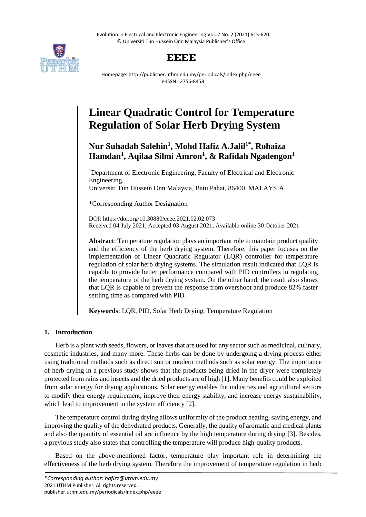Evolution in Electrical and Electronic Engineering Vol. 2 No. 2 (2021) 615-620 © Universiti Tun Hussein Onn Malaysia Publisher's Office



# **EEEE**

Homepage: http://publisher.uthm.edu.my/periodicals/index.php/eeee e-ISSN : 2756-8458

# **Linear Quadratic Control for Temperature Regulation of Solar Herb Drying System**

# **Nur Suhadah Salehin<sup>1</sup> , Mohd Hafiz A.Jalil1\* , Rohaiza Hamdan<sup>1</sup> , Aqilaa Silmi Amron<sup>1</sup> , & Rafidah Ngadengon<sup>1</sup>**

<sup>1</sup>Department of Electronic Engineering, Faculty of Electrical and Electronic Engineering, Universiti Tun Hussein Onn Malaysia, Batu Pahat, 86400, MALAYSIA

\*Corresponding Author Designation

DOI: https://doi.org/10.30880/eeee.2021.02.02.073 Received 04 July 2021; Accepted 03 August 2021; Available online 30 October 2021

**Abstract**: Temperature regulation plays an important role to maintain product quality and the efficiency of the herb drying system. Therefore, this paper focuses on the implementation of Linear Quadratic Regulator (LQR) controller for temperature regulation of solar herb drying systems. The simulation result indicated that LQR is capable to provide better performance compared with PID controllers in regulating the temperature of the herb drying system. On the other hand, the result also shows that LQR is capable to prevent the response from overshoot and produce 82% faster settling time as compared with PID.

**Keywords**: LQR, PID, Solar Herb Drying, Temperature Regulation

# **1. Introduction**

Herb is a plant with seeds, flowers, or leaves that are used for any sector such as medicinal, culinary, cosmetic industries, and many more. These herbs can be done by undergoing a drying process either using traditional methods such as direct sun or modern methods such as solar energy. The importance of herb drying in a previous study shows that the products being dried in the dryer were completely protected from rains and insects and the dried products are of high [1]. Many benefits could be exploited from solar energy for drying applications. Solar energy enables the industries and agricultural sectors to modify their energy requirement, improve their energy stability, and increase energy sustainability, which lead to improvement in the system efficiency [2].

The temperature control during drying allows uniformity of the product heating, saving energy, and improving the quality of the dehydrated products. Generally, the quality of aromatic and medical plants and also the quantity of essential oil are influence by the high temperature during drying [3]. Besides, a previous study also states that controlling the temperature will produce high-quality products.

Based on the above-mentioned factor, temperature play important role in determining the effectiveness of the herb drying system. Therefore the improvement of temperature regulation in herb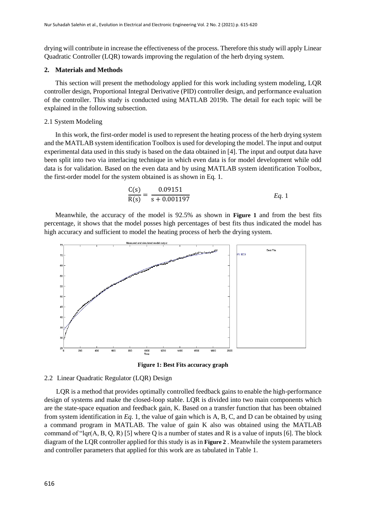drying will contribute in increase the effectiveness of the process. Therefore this study will apply Linear Quadratic Controller (LQR) towards improving the regulation of the herb drying system.

## **2. Materials and Methods**

This section will present the methodology applied for this work including system modeling, LQR controller design, Proportional Integral Derivative (PID) controller design, and performance evaluation of the controller. This study is conducted using MATLAB 2019b. The detail for each topic will be explained in the following subsection.

### 2.1 System Modeling

In this work, the first-order model is used to represent the heating process of the herb drying system and the MATLAB system identification Toolbox is used for developing the model. The input and output experimental data used in this study is based on the data obtained in [4]. The input and output data have been split into two via interlacing technique in which even data is for model development while odd data is for validation. Based on the even data and by using MATLAB system identification Toolbox, the first-order model for the system obtained is as shown in [Eq](#page-1-0)*.* 1.

<span id="page-1-0"></span>
$$
\frac{C(s)}{R(s)} = \frac{0.09151}{s + 0.001197}
$$
 *Eq. 1*

Meanwhile, the accuracy of the model is 92.5% as shown in **[Figure 1](#page-1-1)** and from the best fits percentage, it shows that the model posses high percentages of best fits thus indicated the model has high accuracy and sufficient to model the heating process of herb the drying system.



**Figure 1: Best Fits accuracy graph**

## <span id="page-1-1"></span>2.2 Linear Quadratic Regulator (LQR) Design

 LQR is a method that provides optimally controlled feedback gains to enable the high-performance design of systems and make the closed-loop stable. LQR is divided into two main components which are the state-space equation and feedback gain, K. Based on a transfer function that has been obtained from system identification in *[Eq.](#page-1-0)* 1, the value of gain which is A, B, C, and D can be obtained by using a command program in MATLAB. The value of gain K also was obtained using the MATLAB command of "lqr(A, B, Q, R) [5] where Q is a number of states and R is a value of inputs [6]. The block diagram of the LQR controller applied for this study is as in **[Figure 2](#page-2-0)** . Meanwhile the system parameters and controller parameters that applied for this work are as tabulated in [Table 1.](#page-2-1)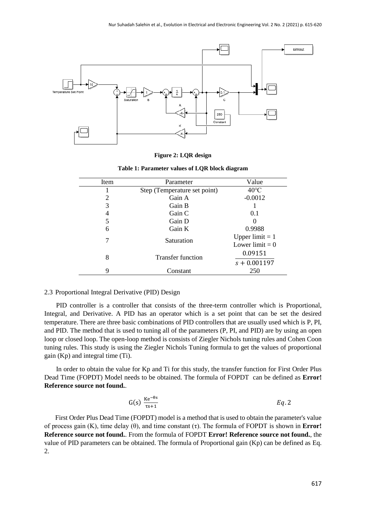

| Figure 2: LQR design |  |  |
|----------------------|--|--|
|                      |  |  |

|  |  |  | Table 1: Parameter values of LQR block diagram |  |  |  |  |
|--|--|--|------------------------------------------------|--|--|--|--|
|--|--|--|------------------------------------------------|--|--|--|--|

<span id="page-2-1"></span><span id="page-2-0"></span>

| Item | Parameter                    | Value             |
|------|------------------------------|-------------------|
|      | Step (Temperature set point) | $40^{\circ}$ C    |
| 2    | Gain A                       | $-0.0012$         |
| 3    | Gain B                       |                   |
| 4    | Gain C                       | 0.1               |
| 5    | Gain D                       |                   |
| 6    | Gain K                       | 0.9988            |
| 7    | Saturation                   | Upper limit $= 1$ |
|      |                              | Lower limit $= 0$ |
| 8    | <b>Transfer function</b>     |                   |
|      |                              | $s + 0.001197$    |
| 9    | Constant                     | 250               |

# 2.3 Proportional Integral Derivative (PID) Design

 PID controller is a controller that consists of the three-term controller which is Proportional, Integral, and Derivative. A PID has an operator which is a set point that can be set the desired temperature. There are three basic combinations of PID controllers that are usually used which is P, PI, and PID. The method that is used to tuning all of the parameters (P, PI, and PID) are by using an open loop or closed loop. The open-loop method is consists of Ziegler Nichols tuning rules and Cohen Coon tuning rules. This study is using the Ziegler Nichols Tuning formula to get the values of proportional gain (Kp) and integral time (Ti).

 In order to obtain the value for Kp and Ti for this study, the transfer function for First Order Plus Dead Time (FOPDT) Model needs to be obtained. The formula of FOPDT can be defined as **Error! Reference source not found.**.

$$
G(s) \frac{Ke^{-\theta s}}{rs+1}
$$

First Order Plus Dead Time (FOPDT) model is a method that is used to obtain the parameter's value of process gain (K), time delay (θ), and time constant (τ). The formula of FOPDT is shown in **Error! Reference source not found.**. From the formula of FOPDT **Error! Reference source not found.**, the value of PID parameters can be obtained. The formula of Proportional gain (Kp) can be defined as [Eq.](#page-3-0) [2.](#page-3-0)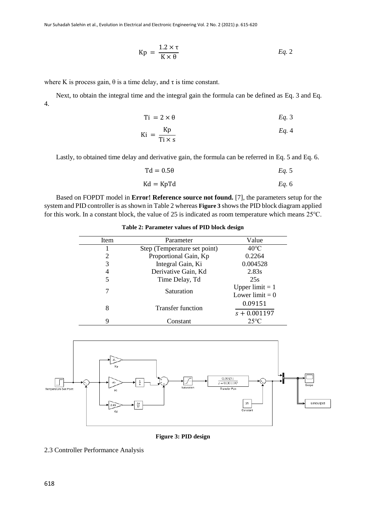<span id="page-3-0"></span>
$$
Kp = \frac{1.2 \times \tau}{K \times \theta} \qquad Eq. 2
$$

where K is process gain,  $\theta$  is a time delay, and  $\tau$  is time constant.

 Next, to obtain the integral time and the integral gain the formula can be defined as [Eq.](#page-3-1) 3 and [Eq.](#page-3-2) [4.](#page-3-2)

<span id="page-3-2"></span><span id="page-3-1"></span>
$$
Ti = 2 \times \theta \qquad \qquad Eq. 3
$$

$$
Ki = \frac{Kp}{Ti \times s} \qquad Eq. 4
$$

Lastly, to obtained time delay and derivative gain, the formula can be referred in [Eq.](#page-3-3) 5 and [Eq. 6.](#page-3-4)

<span id="page-3-4"></span><span id="page-3-3"></span>
$$
Td = 0.5\theta
$$

$$
Kd = KpTd \qquad \qquad Eq. 6
$$

<span id="page-3-5"></span> Based on FOPDT model in **Error! Reference source not found.** [7], the parameters setup for the system and PID controller is as shown in [Table 2](#page-3-5) whereas **[Figure 3](#page-3-6)** shows the PID block diagram applied for this work. In a constant block, the value of 25 is indicated as room temperature which means 25℃.

**Table 2: Parameter values of PID block design**

| Item | Parameter                    | Value                                  |
|------|------------------------------|----------------------------------------|
|      | Step (Temperature set point) | $40^{\circ}$ C                         |
| 2    | Proportional Gain, Kp        | 0.2264                                 |
| 3    | Integral Gain, Ki            | 0.004528                               |
| 4    | Derivative Gain, Kd          | 2.83s                                  |
| 5    | Time Delay, Td               | 25s                                    |
|      | Saturation                   | Upper limit $= 1$<br>Lower limit $= 0$ |
| 8    | <b>Transfer function</b>     | 0.09151                                |
|      |                              | $s + 0.001197$                         |
|      | Constant                     | $25^{\circ}$ C                         |



**Figure 3: PID design**

<span id="page-3-6"></span>2.3 Controller Performance Analysis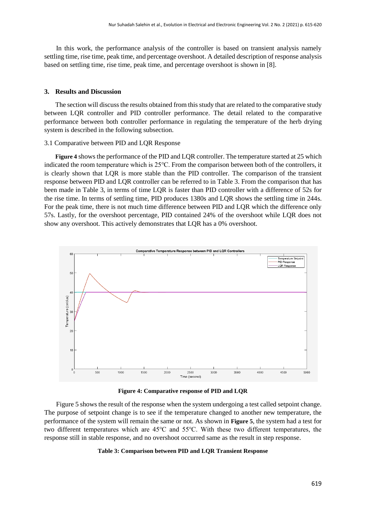In this work, the performance analysis of the controller is based on transient analysis namely settling time, rise time, peak time, and percentage overshoot. A detailed description of response analysis based on settling time, rise time, peak time, and percentage overshoot is shown in [8].

## **3. Results and Discussion**

The section will discuss the results obtained from this study that are related to the comparative study between LQR controller and PID controller performance. The detail related to the comparative performance between both controller performance in regulating the temperature of the herb drying system is described in the following subsection.

#### 3.1 Comparative between PID and LQR Response

**[Figure 4](#page-4-0)** shows the performance of the PID and LQR controller. The temperature started at 25 which indicated the room temperature which is 25℃. From the comparison between both of the controllers, it is clearly shown that LQR is more stable than the PID controller. The comparison of the transient response between PID and LQR controller can be referred to in [Table 3.](#page-4-1) From the comparison that has been made in [Table 3,](#page-4-1) in terms of time LQR is faster than PID controller with a difference of 52s for the rise time. In terms of settling time, PID produces 1380s and LQR shows the settling time in 244s. For the peak time, there is not much time difference between PID and LQR which the difference only 57s. Lastly, for the overshoot percentage, PID contained 24% of the overshoot while LQR does not show any overshoot. This actively demonstrates that LQR has a 0% overshoot.



**Figure 4: Comparative response of PID and LQR**

<span id="page-4-1"></span><span id="page-4-0"></span> [Figure 5](#page-5-0) shows the result of the response when the system undergoing a test called setpoint change. The purpose of setpoint change is to see if the temperature changed to another new temperature, the performance of the system will remain the same or not. As shown in **[Figure 5](#page-5-0)**, the system had a test for two different temperatures which are 45℃ and 55℃. With these two different temperatures, the response still in stable response, and no overshoot occurred same as the result in step response.

#### **Table 3: Comparison between PID and LQR Transient Response**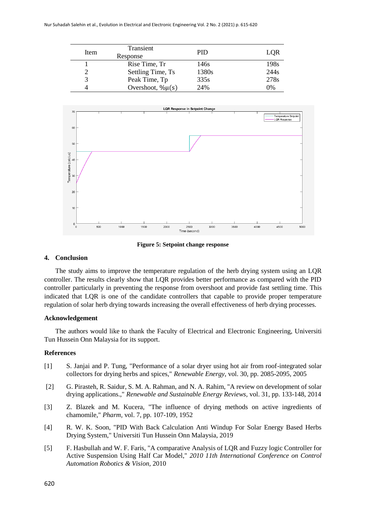| Item | Transient<br>Response  | <b>PID</b> | LOR              |
|------|------------------------|------------|------------------|
|      | Rise Time, Tr          | 146s       | 198 <sub>s</sub> |
|      | Settling Time, Ts      | 1380s      | 244 <sub>s</sub> |
|      | Peak Time, Tp          | 335s       | 278s             |
|      | Overshoot, $\% \mu(s)$ | 24%        | 0%               |



**Figure 5: Setpoint change response**

#### <span id="page-5-0"></span>**4. Conclusion**

The study aims to improve the temperature regulation of the herb drying system using an LQR controller. The results clearly show that LQR provides better performance as compared with the PID controller particularly in preventing the response from overshoot and provide fast settling time. This indicated that LQR is one of the candidate controllers that capable to provide proper temperature regulation of solar herb drying towards increasing the overall effectiveness of herb drying processes.

#### **Acknowledgement**

The authors would like to thank the Faculty of Electrical and Electronic Engineering, Universiti Tun Hussein Onn Malaysia for its support.

#### **References**

- [1] S. Janjai and P. Tung, "Performance of a solar dryer using hot air from roof-integrated solar collectors for drying herbs and spices," *Renewable Energy,* vol. 30, pp. 2085-2095, 2005
- [2] G. Pirasteh, R. Saidur, S. M. A. Rahman, and N. A. Rahim, "A review on development of solar drying applications.," *Renewable and Sustainable Energy Reviews,* vol. 31, pp. 133-148, 2014
- [3] Z. Blazek and M. Kucera, "The influence of drying methods on active ingredients of chamomile," *Pharm,* vol. 7, pp. 107-109, 1952
- [4] R. W. K. Soon, "PID With Back Calculation Anti Windup For Solar Energy Based Herbs Drying System," Universiti Tun Hussein Onn Malaysia, 2019
- [5] F. Hasbullah and W. F. Faris, "A comparative Analysis of LQR and Fuzzy logic Controller for Active Suspension Using Half Car Model," *2010 11th International Conference on Control Automation Robotics & Vision,* 2010